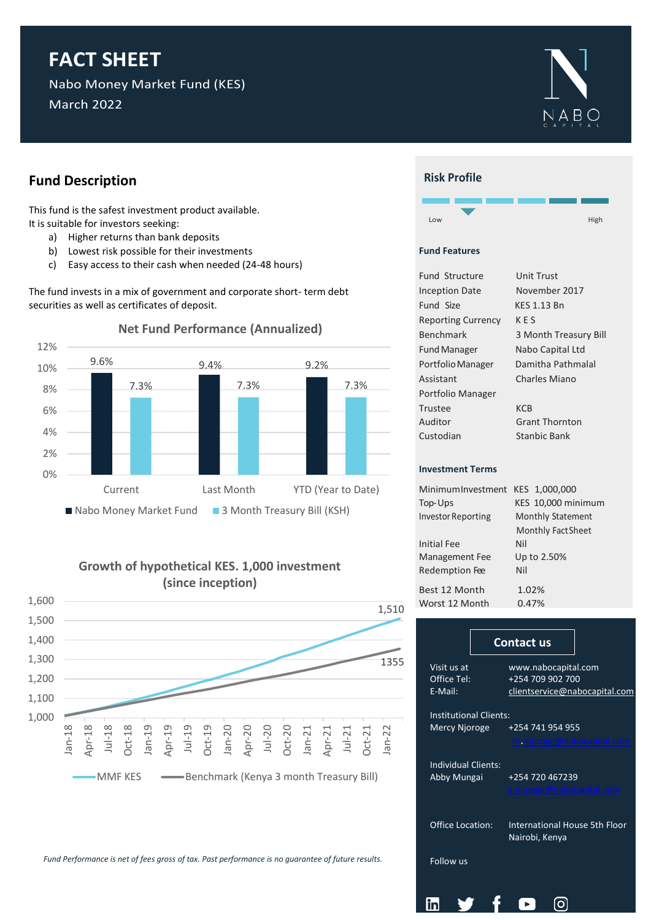## **FACT SHEET**

Nabo Money Market Fund (KES) March 2022



## **Fund Description**

This fund is the safest investment product available. It is suitable for investors seeking:

- a) Higher returns than bank deposits
- b) Lowest risk possible for their investments
- c) Easy access to their cash when needed (24-48 hours)

The fund invests in a mix of government and corporate short- term debt securities as well as certificates of deposit.



## **Growth of hypothetical KES. 1,000 investment (since inception)**



*Fund Performance is net of fees gross of tax. Past performance is no guarantee of future results.*



### **Fund Features**

l

| <b>Fund Structure</b>     | Unit Trust            |  |  |  |  |  |  |
|---------------------------|-----------------------|--|--|--|--|--|--|
| <b>Inception Date</b>     | November 2017         |  |  |  |  |  |  |
| Fund Size                 | <b>KES 1.13 Bn</b>    |  |  |  |  |  |  |
| <b>Reporting Currency</b> | KES                   |  |  |  |  |  |  |
| Benchmark                 | 3 Month Treasury Bill |  |  |  |  |  |  |
| <b>Fund Manager</b>       | Nabo Capital Ltd      |  |  |  |  |  |  |
| Portfolio Manager         | Damitha Pathmalal     |  |  |  |  |  |  |
| Assistant                 | Charles Miano         |  |  |  |  |  |  |
| Portfolio Manager         |                       |  |  |  |  |  |  |
| Trustee                   | KCB                   |  |  |  |  |  |  |
| Auditor                   | <b>Grant Thornton</b> |  |  |  |  |  |  |
| Custodian                 | Stanbic Bank          |  |  |  |  |  |  |
|                           |                       |  |  |  |  |  |  |
| <b>Investment Terms</b>   |                       |  |  |  |  |  |  |

| MinimumInvestment KES 1,000,000 |  |  |  |  |  |  |
|---------------------------------|--|--|--|--|--|--|
| KES 10,000 minimum              |  |  |  |  |  |  |
| <b>Monthly Statement</b>        |  |  |  |  |  |  |
| <b>Monthly Fact Sheet</b>       |  |  |  |  |  |  |
| Nil                             |  |  |  |  |  |  |
| Up to 2.50%                     |  |  |  |  |  |  |
| Nil                             |  |  |  |  |  |  |
| 1.02%                           |  |  |  |  |  |  |
| 0.47%                           |  |  |  |  |  |  |
|                                 |  |  |  |  |  |  |

|                                    | <b>Contact us</b>                               |  |  |  |  |  |
|------------------------------------|-------------------------------------------------|--|--|--|--|--|
| Visit us at                        | www.nabocapital.com                             |  |  |  |  |  |
| Office Tel:                        | +254 709 902 700                                |  |  |  |  |  |
| E-Mail:                            | clientservice@nabocapital.com                   |  |  |  |  |  |
| <b>Institutional Clients:</b>      |                                                 |  |  |  |  |  |
| Mercy Njoroge                      | +254 741 954 955                                |  |  |  |  |  |
|                                    | m.njoroge@nabocapital.com                       |  |  |  |  |  |
| Individual Clients:<br>Abby Mungai | +254 720 467239                                 |  |  |  |  |  |
|                                    | a.mungai@nabocapital.com                        |  |  |  |  |  |
| <b>Office Location:</b>            | International House 5th Floor<br>Nairobi, Kenya |  |  |  |  |  |
| Follow us                          |                                                 |  |  |  |  |  |
|                                    |                                                 |  |  |  |  |  |